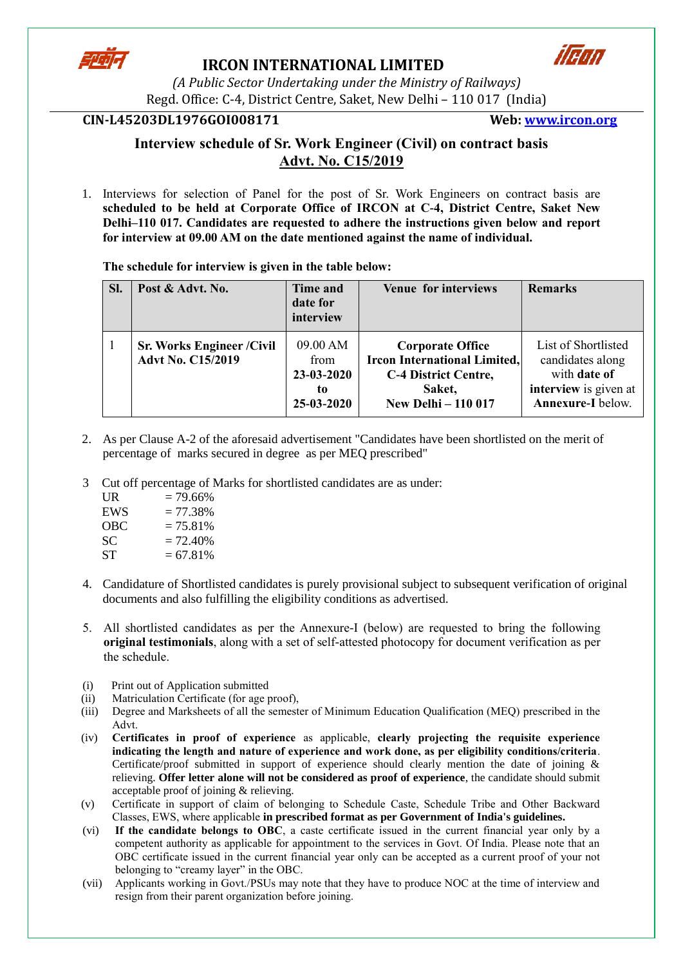

## **IRCON INTERNATIONAL LIMITED**



*(A Public Sector Undertaking under the Ministry of Railways)* Regd. Office: C-4, District Centre, Saket, New Delhi – 110 017 (India)

**CIN-L45203DL1976GOI008171 Web: [www.ircon.org](http://www.ircon.org/)**

## **Interview schedule of Sr. Work Engineer (Civil) on contract basis Advt. No. C15/2019**

1. Interviews for selection of Panel for the post of Sr. Work Engineers on contract basis are **scheduled to be held at Corporate Office of IRCON at C-4, District Centre, Saket New Delhi–110 017. Candidates are requested to adhere the instructions given below and report for interview at 09.00 AM on the date mentioned against the name of individual.** 

**The schedule for interview is given in the table below:**

| SI. | Post & Advt. No.                                              | Time and<br>date for<br>interview                  | <b>Venue for interviews</b>                                                                                                           | <b>Remarks</b>                                                                                        |
|-----|---------------------------------------------------------------|----------------------------------------------------|---------------------------------------------------------------------------------------------------------------------------------------|-------------------------------------------------------------------------------------------------------|
|     | <b>Sr. Works Engineer / Civil</b><br><b>Advt No. C15/2019</b> | 09.00 AM<br>from<br>23-03-2020<br>to<br>25-03-2020 | <b>Corporate Office</b><br><b>Ircon International Limited,</b><br><b>C-4 District Centre,</b><br>Saket,<br><b>New Delhi - 110 017</b> | List of Shortlisted<br>candidates along<br>with date of<br>interview is given at<br>Annexure-I below. |

- 2. As per Clause A-2 of the aforesaid advertisement "Candidates have been shortlisted on the merit of percentage of marks secured in degree as per MEQ prescribed"
- 3 Cut off percentage of Marks for shortlisted candidates are as under:

| UR  | $= 79.66\%$ |
|-----|-------------|
| EWS | $= 77.38\%$ |
| OBC | $= 75.81\%$ |
| SС  | $= 72.40\%$ |
| SТ  | $= 67.81\%$ |

- 4. Candidature of Shortlisted candidates is purely provisional subject to subsequent verification of original documents and also fulfilling the eligibility conditions as advertised.
- 5. All shortlisted candidates as per the Annexure-I (below) are requested to bring the following **original testimonials**, along with a set of self-attested photocopy for document verification as per the schedule.
- (i) Print out of Application submitted
- (ii) Matriculation Certificate (for age proof),
- (iii) Degree and Marksheets of all the semester of Minimum Education Qualification (MEQ) prescribed in the Advt.
- (iv) **Certificates in proof of experience** as applicable, **clearly projecting the requisite experience indicating the length and nature of experience and work done, as per eligibility conditions/criteria**. Certificate/proof submitted in support of experience should clearly mention the date of joining & relieving. **Offer letter alone will not be considered as proof of experience**, the candidate should submit acceptable proof of joining & relieving.
- (v) Certificate in support of claim of belonging to Schedule Caste, Schedule Tribe and Other Backward Classes, EWS, where applicable **in prescribed format as per Government of India's guidelines.**
- (vi) **If the candidate belongs to OBC**, a caste certificate issued in the current financial year only by a competent authority as applicable for appointment to the services in Govt. Of India. Please note that an OBC certificate issued in the current financial year only can be accepted as a current proof of your not belonging to "creamy layer" in the OBC.
- (vii) Applicants working in Govt./PSUs may note that they have to produce NOC at the time of interview and resign from their parent organization before joining.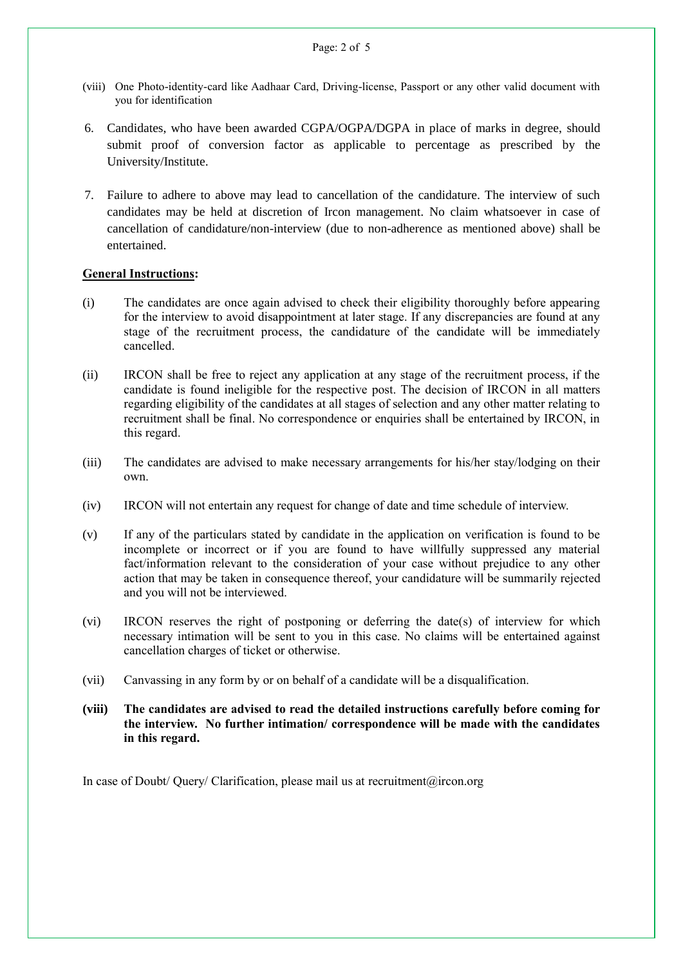- (viii) One Photo-identity-card like Aadhaar Card, Driving-license, Passport or any other valid document with you for identification
- 6. Candidates, who have been awarded CGPA/OGPA/DGPA in place of marks in degree, should submit proof of conversion factor as applicable to percentage as prescribed by the University/Institute.
- 7. Failure to adhere to above may lead to cancellation of the candidature. The interview of such candidates may be held at discretion of Ircon management. No claim whatsoever in case of cancellation of candidature/non-interview (due to non-adherence as mentioned above) shall be entertained.

## **General Instructions:**

- (i) The candidates are once again advised to check their eligibility thoroughly before appearing for the interview to avoid disappointment at later stage. If any discrepancies are found at any stage of the recruitment process, the candidature of the candidate will be immediately cancelled.
- (ii) IRCON shall be free to reject any application at any stage of the recruitment process, if the candidate is found ineligible for the respective post. The decision of IRCON in all matters regarding eligibility of the candidates at all stages of selection and any other matter relating to recruitment shall be final. No correspondence or enquiries shall be entertained by IRCON, in this regard.
- (iii) The candidates are advised to make necessary arrangements for his/her stay/lodging on their own.
- (iv) IRCON will not entertain any request for change of date and time schedule of interview.
- (v) If any of the particulars stated by candidate in the application on verification is found to be incomplete or incorrect or if you are found to have willfully suppressed any material fact/information relevant to the consideration of your case without prejudice to any other action that may be taken in consequence thereof, your candidature will be summarily rejected and you will not be interviewed.
- (vi) IRCON reserves the right of postponing or deferring the date(s) of interview for which necessary intimation will be sent to you in this case. No claims will be entertained against cancellation charges of ticket or otherwise.
- (vii) Canvassing in any form by or on behalf of a candidate will be a disqualification.
- **(viii) The candidates are advised to read the detailed instructions carefully before coming for the interview. No further intimation/ correspondence will be made with the candidates in this regard.**

In case of Doubt/ Query/ Clarification, please mail us at recruitment@ircon.org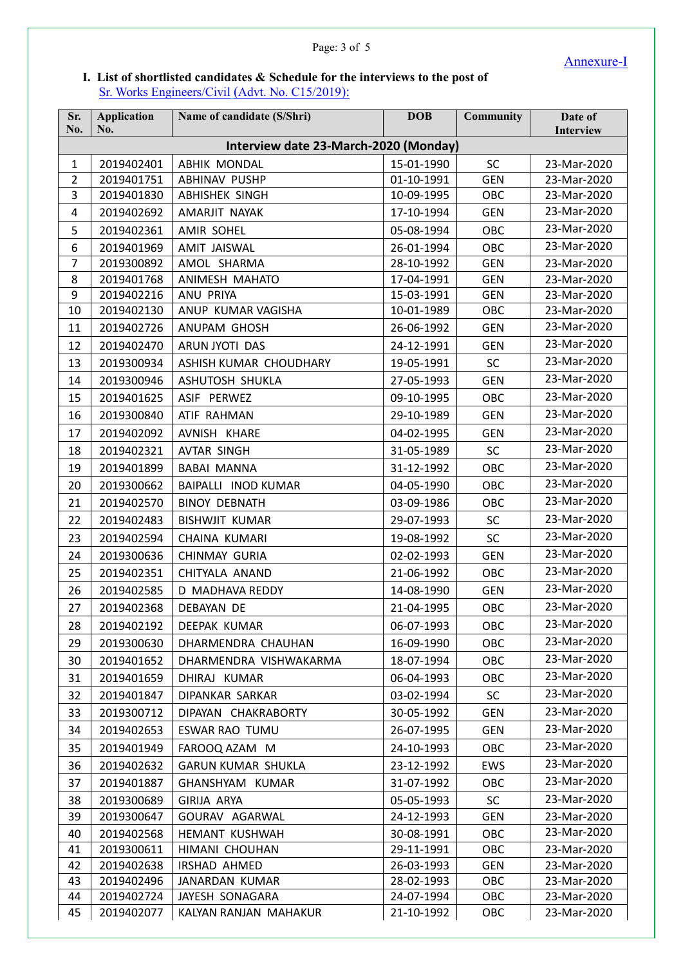

## **I. List of shortlisted candidates & Schedule for the interviews to the post of**  Sr. Works Engineers/Civil (Advt. No. C15/2019):

| Sr.<br>No.     | <b>Application</b><br>No.             | Name of candidate (S/Shri) | <b>DOB</b> | <b>Community</b> | Date of<br>Interview |  |
|----------------|---------------------------------------|----------------------------|------------|------------------|----------------------|--|
|                | Interview date 23-March-2020 (Monday) |                            |            |                  |                      |  |
| 1              | 2019402401                            | <b>ABHIK MONDAL</b>        | 15-01-1990 | <b>SC</b>        | 23-Mar-2020          |  |
| $\overline{2}$ | 2019401751                            | <b>ABHINAV PUSHP</b>       | 01-10-1991 | <b>GEN</b>       | 23-Mar-2020          |  |
| 3              | 2019401830                            | <b>ABHISHEK SINGH</b>      | 10-09-1995 | OBC              | 23-Mar-2020          |  |
| $\pmb{4}$      | 2019402692                            | AMARJIT NAYAK              | 17-10-1994 | <b>GEN</b>       | 23-Mar-2020          |  |
| 5              | 2019402361                            | AMIR SOHEL                 | 05-08-1994 | OBC              | 23-Mar-2020          |  |
| 6              | 2019401969                            | AMIT JAISWAL               | 26-01-1994 | OBC              | 23-Mar-2020          |  |
| $\overline{7}$ | 2019300892                            | AMOL SHARMA                | 28-10-1992 | <b>GEN</b>       | 23-Mar-2020          |  |
| 8              | 2019401768                            | ANIMESH MAHATO             | 17-04-1991 | <b>GEN</b>       | 23-Mar-2020          |  |
| 9              | 2019402216                            | ANU PRIYA                  | 15-03-1991 | <b>GEN</b>       | 23-Mar-2020          |  |
| 10             | 2019402130                            | ANUP KUMAR VAGISHA         | 10-01-1989 | OBC              | 23-Mar-2020          |  |
| 11             | 2019402726                            | ANUPAM GHOSH               | 26-06-1992 | <b>GEN</b>       | 23-Mar-2020          |  |
| 12             | 2019402470                            | ARUN JYOTI DAS             | 24-12-1991 | <b>GEN</b>       | 23-Mar-2020          |  |
| 13             | 2019300934                            | ASHISH KUMAR CHOUDHARY     | 19-05-1991 | <b>SC</b>        | 23-Mar-2020          |  |
| 14             | 2019300946                            | ASHUTOSH SHUKLA            | 27-05-1993 | <b>GEN</b>       | 23-Mar-2020          |  |
| 15             | 2019401625                            | ASIF PERWEZ                | 09-10-1995 | OBC              | 23-Mar-2020          |  |
| 16             | 2019300840                            | ATIF RAHMAN                | 29-10-1989 | <b>GEN</b>       | 23-Mar-2020          |  |
| 17             | 2019402092                            | AVNISH KHARE               | 04-02-1995 | <b>GEN</b>       | 23-Mar-2020          |  |
| 18             | 2019402321                            | <b>AVTAR SINGH</b>         | 31-05-1989 | <b>SC</b>        | 23-Mar-2020          |  |
| 19             | 2019401899                            | <b>BABAI MANNA</b>         | 31-12-1992 | OBC              | 23-Mar-2020          |  |
| 20             | 2019300662                            | BAIPALLI INOD KUMAR        | 04-05-1990 | OBC              | 23-Mar-2020          |  |
| 21             | 2019402570                            | <b>BINOY DEBNATH</b>       | 03-09-1986 | OBC              | 23-Mar-2020          |  |
| 22             | 2019402483                            | <b>BISHWJIT KUMAR</b>      | 29-07-1993 | <b>SC</b>        | 23-Mar-2020          |  |
| 23             | 2019402594                            | CHAINA KUMARI              | 19-08-1992 | SC               | 23-Mar-2020          |  |
| 24             | 2019300636                            | <b>CHINMAY GURIA</b>       | 02-02-1993 | <b>GEN</b>       | 23-Mar-2020          |  |
| 25             | 2019402351                            | CHITYALA ANAND             | 21-06-1992 | OBC              | 23-Mar-2020          |  |
| 26             | 2019402585                            | D MADHAVA REDDY            | 14-08-1990 | <b>GEN</b>       | 23-Mar-2020          |  |
| 27             | 2019402368                            | <b>DEBAYAN DE</b>          | 21-04-1995 | OBC              | 23-Mar-2020          |  |
| 28             | 2019402192                            | DEEPAK KUMAR               | 06-07-1993 | OBC              | 23-Mar-2020          |  |
| 29             | 2019300630                            | DHARMENDRA CHAUHAN         | 16-09-1990 | OBC              | 23-Mar-2020          |  |
| 30             | 2019401652                            | DHARMENDRA VISHWAKARMA     | 18-07-1994 | OBC              | 23-Mar-2020          |  |
| 31             | 2019401659                            | DHIRAJ KUMAR               | 06-04-1993 | OBC              | 23-Mar-2020          |  |
| 32             | 2019401847                            | DIPANKAR SARKAR            | 03-02-1994 | <b>SC</b>        | 23-Mar-2020          |  |
| 33             | 2019300712                            | DIPAYAN CHAKRABORTY        | 30-05-1992 | <b>GEN</b>       | 23-Mar-2020          |  |
| 34             | 2019402653                            | <b>ESWAR RAO TUMU</b>      | 26-07-1995 | <b>GEN</b>       | 23-Mar-2020          |  |
| 35             | 2019401949                            | FAROOQ AZAM M              | 24-10-1993 | OBC              | 23-Mar-2020          |  |
| 36             | 2019402632                            | <b>GARUN KUMAR SHUKLA</b>  | 23-12-1992 | <b>EWS</b>       | 23-Mar-2020          |  |
| 37             | 2019401887                            | GHANSHYAM KUMAR            | 31-07-1992 | OBC              | 23-Mar-2020          |  |
| 38             | 2019300689                            | GIRIJA ARYA                | 05-05-1993 | <b>SC</b>        | 23-Mar-2020          |  |
| 39             | 2019300647                            | GOURAV AGARWAL             | 24-12-1993 | <b>GEN</b>       | 23-Mar-2020          |  |
| 40             | 2019402568                            | <b>HEMANT KUSHWAH</b>      | 30-08-1991 | <b>OBC</b>       | 23-Mar-2020          |  |
| 41             | 2019300611                            | HIMANI CHOUHAN             | 29-11-1991 | OBC              | 23-Mar-2020          |  |
| 42             | 2019402638                            | IRSHAD AHMED               | 26-03-1993 | <b>GEN</b>       | 23-Mar-2020          |  |
| 43             | 2019402496                            | JANARDAN KUMAR             | 28-02-1993 | OBC              | 23-Mar-2020          |  |
| 44             | 2019402724                            | JAYESH SONAGARA            | 24-07-1994 | OBC              | 23-Mar-2020          |  |
| 45             | 2019402077                            | KALYAN RANJAN MAHAKUR      | 21-10-1992 | OBC              | 23-Mar-2020          |  |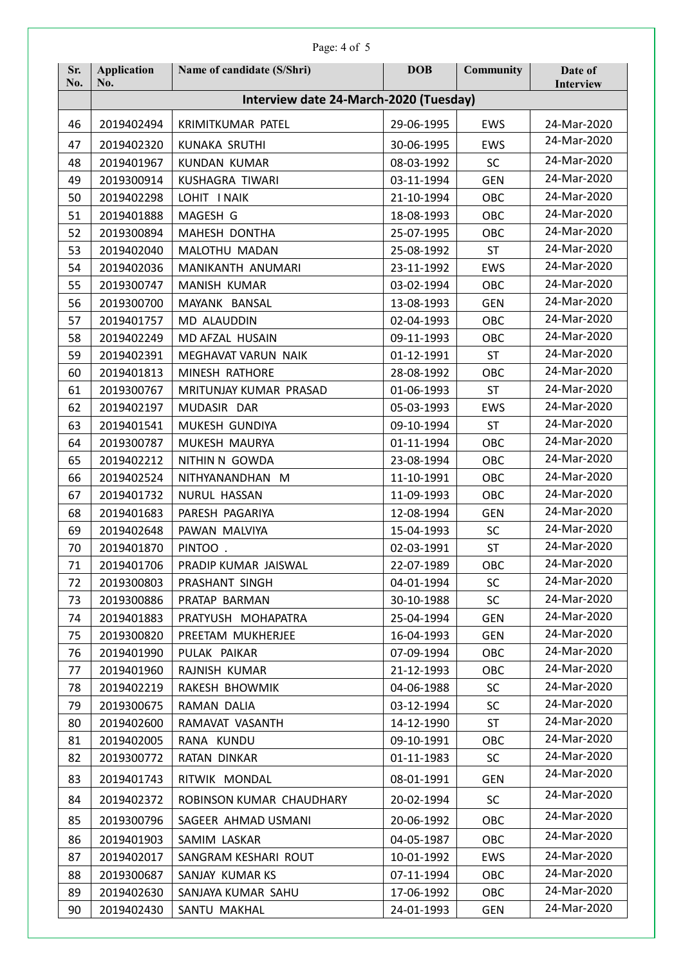|            | Page: 4 of 5                           |                            |            |                  |                      |
|------------|----------------------------------------|----------------------------|------------|------------------|----------------------|
| Sr.<br>No. | <b>Application</b><br>No.              | Name of candidate (S/Shri) | <b>DOB</b> | <b>Community</b> | Date of<br>Interview |
|            | Interview date 24-March-2020 (Tuesday) |                            |            |                  |                      |
| 46         | 2019402494                             | KRIMITKUMAR PATEL          | 29-06-1995 | EWS              | 24-Mar-2020          |
| 47         | 2019402320                             | <b>KUNAKA SRUTHI</b>       | 30-06-1995 | <b>EWS</b>       | 24-Mar-2020          |
| 48         | 2019401967                             | KUNDAN KUMAR               | 08-03-1992 | <b>SC</b>        | 24-Mar-2020          |
| 49         | 2019300914                             | <b>KUSHAGRA TIWARI</b>     | 03-11-1994 | <b>GEN</b>       | 24-Mar-2020          |
| 50         | 2019402298                             | LOHIT I NAIK               | 21-10-1994 | OBC              | 24-Mar-2020          |
| 51         | 2019401888                             | MAGESH G                   | 18-08-1993 | OBC              | 24-Mar-2020          |
| 52         | 2019300894                             | MAHESH DONTHA              | 25-07-1995 | OBC              | 24-Mar-2020          |
| 53         | 2019402040                             | MALOTHU MADAN              | 25-08-1992 | <b>ST</b>        | 24-Mar-2020          |
| 54         | 2019402036                             | MANIKANTH ANUMARI          | 23-11-1992 | <b>EWS</b>       | 24-Mar-2020          |
| 55         | 2019300747                             | MANISH KUMAR               | 03-02-1994 | OBC              | 24-Mar-2020          |
| 56         | 2019300700                             | MAYANK BANSAL              | 13-08-1993 | <b>GEN</b>       | 24-Mar-2020          |
| 57         | 2019401757                             | MD ALAUDDIN                | 02-04-1993 | OBC              | 24-Mar-2020          |
| 58         | 2019402249                             | MD AFZAL HUSAIN            | 09-11-1993 | OBC              | 24-Mar-2020          |
| 59         | 2019402391                             | MEGHAVAT VARUN NAIK        | 01-12-1991 | <b>ST</b>        | 24-Mar-2020          |
| 60         | 2019401813                             | MINESH RATHORE             | 28-08-1992 | OBC              | 24-Mar-2020          |
| 61         | 2019300767                             | MRITUNJAY KUMAR PRASAD     | 01-06-1993 | <b>ST</b>        | 24-Mar-2020          |
| 62         | 2019402197                             | MUDASIR DAR                | 05-03-1993 | EWS              | 24-Mar-2020          |
| 63         | 2019401541                             | MUKESH GUNDIYA             | 09-10-1994 | <b>ST</b>        | 24-Mar-2020          |
| 64         | 2019300787                             | MUKESH MAURYA              | 01-11-1994 | OBC              | 24-Mar-2020          |
| 65         | 2019402212                             | NITHIN N GOWDA             | 23-08-1994 | OBC              | 24-Mar-2020          |
| 66         | 2019402524                             | NITHYANANDHAN M            | 11-10-1991 | OBC              | 24-Mar-2020          |
| 67         | 2019401732                             | NURUL HASSAN               | 11-09-1993 | OBC              | 24-Mar-2020          |
| 68         | 2019401683                             | PARESH PAGARIYA            | 12-08-1994 | <b>GEN</b>       | 24-Mar-2020          |
| 69         | 2019402648                             | PAWAN MALVIYA              | 15-04-1993 | <b>SC</b>        | 24-Mar-2020          |
| 70         | 2019401870                             | <b>PINTOO</b>              | 02-03-1991 | <b>ST</b>        | 24-Mar-2020          |
| 71         | 2019401706                             | PRADIP KUMAR JAISWAL       | 22-07-1989 | OBC              | 24-Mar-2020          |
| 72         | 2019300803                             | PRASHANT SINGH             | 04-01-1994 | <b>SC</b>        | 24-Mar-2020          |
| 73         | 2019300886                             | PRATAP BARMAN              | 30-10-1988 | <b>SC</b>        | 24-Mar-2020          |
| 74         | 2019401883                             | PRATYUSH MOHAPATRA         | 25-04-1994 | <b>GEN</b>       | 24-Mar-2020          |
| 75         | 2019300820                             | PREETAM MUKHERJEE          | 16-04-1993 | GEN              | 24-Mar-2020          |
| 76         | 2019401990                             | PULAK PAIKAR               | 07-09-1994 | OBC              | 24-Mar-2020          |
| 77         | 2019401960                             | RAJNISH KUMAR              | 21-12-1993 | OBC              | 24-Mar-2020          |
| 78         | 2019402219                             | RAKESH BHOWMIK             | 04-06-1988 | <b>SC</b>        | 24-Mar-2020          |
| 79         | 2019300675                             | RAMAN DALIA                | 03-12-1994 | <b>SC</b>        | 24-Mar-2020          |
| 80         | 2019402600                             | RAMAVAT VASANTH            | 14-12-1990 | <b>ST</b>        | 24-Mar-2020          |
| 81         | 2019402005                             | RANA KUNDU                 | 09-10-1991 | OBC              | 24-Mar-2020          |
| 82         | 2019300772                             | RATAN DINKAR               | 01-11-1983 | <b>SC</b>        | 24-Mar-2020          |
| 83         | 2019401743                             | RITWIK MONDAL              | 08-01-1991 | <b>GEN</b>       | 24-Mar-2020          |
|            |                                        |                            |            |                  | 24-Mar-2020          |
| 84         | 2019402372                             | ROBINSON KUMAR CHAUDHARY   | 20-02-1994 | <b>SC</b>        |                      |
| 85         | 2019300796                             | SAGEER AHMAD USMANI        | 20-06-1992 | OBC              | 24-Mar-2020          |
| 86         | 2019401903                             | SAMIM LASKAR               | 04-05-1987 | OBC              | 24-Mar-2020          |
| 87         | 2019402017                             | SANGRAM KESHARI ROUT       | 10-01-1992 | EWS              | 24-Mar-2020          |
| 88         | 2019300687                             | SANJAY KUMAR KS            | 07-11-1994 | OBC              | 24-Mar-2020          |
| 89         | 2019402630                             | SANJAYA KUMAR SAHU         | 17-06-1992 | OBC              | 24-Mar-2020          |
| 90         | 2019402430                             | SANTU MAKHAL               | 24-01-1993 | <b>GEN</b>       | 24-Mar-2020          |